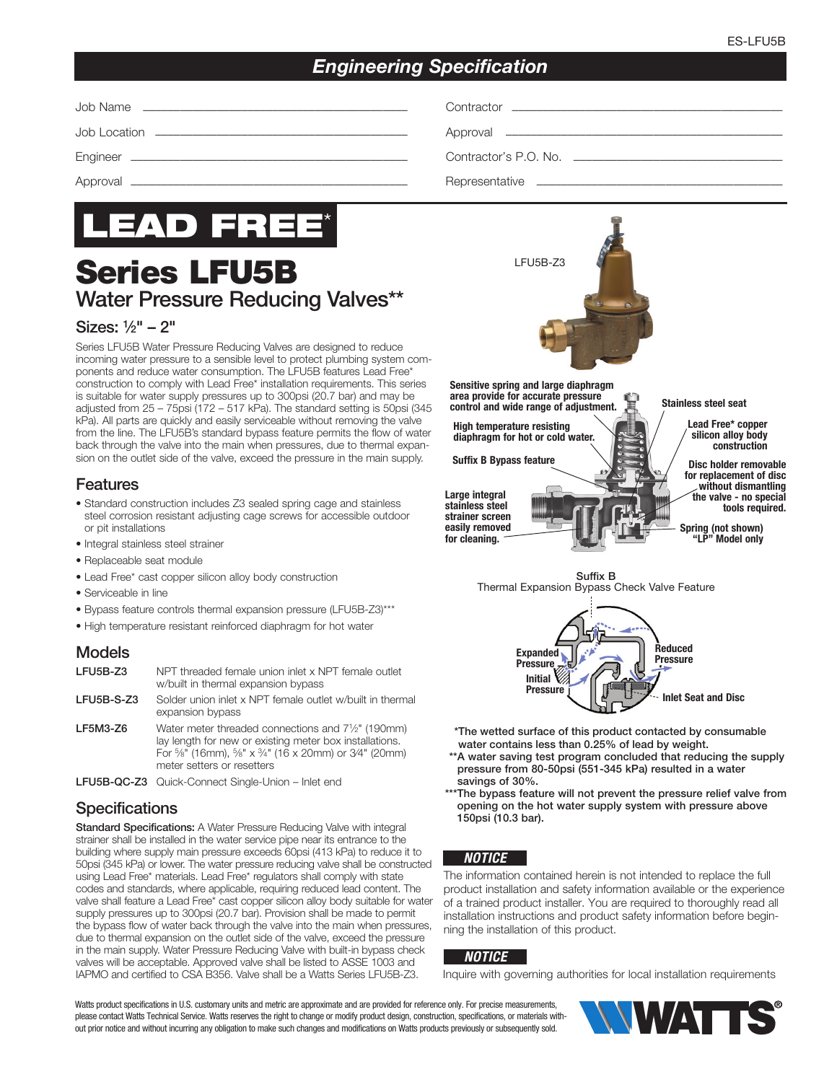## *Engineering Specification*

Job Name ––––––––––––––––––––––––––––––––––––––––––– Contractor ––––––––––––––––––––––––––––––––––––––––––––

Job Location ––––––––––––––––––––––––––––––––––––––––– Approval –––––––––––––––––––––––––––––––––––––––––––––

Engineer ––––––––––––––––––––––––––––––––––––––––––––– Contractor's P.O. No. ––––––––––––––––––––––––––––––––––

Approval ––––––––––––––––––––––––––––––––––––––––––––– Representative ––––––––––––––––––––––––––––––––––––––––



# Series LFU5B Water Pressure Reducing Valves\*\*

#### Sizes: 1⁄2" – 2"

Series LFU5B Water Pressure Reducing Valves are designed to reduce incoming water pressure to a sensible level to protect plumbing system components and reduce water consumption. The LFU5B features Lead Free\* construction to comply with Lead Free\* installation requirements. This series is suitable for water supply pressures up to 300psi (20.7 bar) and may be adjusted from 25 – 75psi (172 – 517 kPa). The standard setting is 50psi (345 kPa). All parts are quickly and easily serviceable without removing the valve from the line. The LFU5B's standard bypass feature permits the flow of water back through the valve into the main when pressures, due to thermal expansion on the outlet side of the valve, exceed the pressure in the main supply.

#### Features

- Standard construction includes Z3 sealed spring cage and stainless steel corrosion resistant adjusting cage screws for accessible outdoor or pit installations
- Integral stainless steel strainer
- Replaceable seat module
- Lead Free\* cast copper silicon alloy body construction
- Serviceable in line
- Bypass feature controls thermal expansion pressure (LFU5B-Z3)\*\*\*
- High temperature resistant reinforced diaphragm for hot water

#### Models

| LFU5B-Z3   | NPT threaded female union inlet x NPT female outlet<br>w/built in thermal expansion bypass                                                                                                                                                                        |
|------------|-------------------------------------------------------------------------------------------------------------------------------------------------------------------------------------------------------------------------------------------------------------------|
| LFU5B-S-Z3 | Solder union inlet x NPT female outlet w/built in thermal<br>expansion bypass                                                                                                                                                                                     |
| LF5M3-Z6   | Water meter threaded connections and 7 <sup>1</sup> / <sub>2</sub> " (190mm)<br>lay length for new or existing meter box installations.<br>For $\frac{5}{8}$ " (16mm), $\frac{5}{8}$ " x $\frac{3}{4}$ " (16 x 20mm) or 3/4" (20mm)<br>meter setters or resetters |
|            | LFU5B-QC-Z3 Quick-Connect Single-Union - Inlet end                                                                                                                                                                                                                |
|            |                                                                                                                                                                                                                                                                   |

#### **Specifications**

Standard Specifications: A Water Pressure Reducing Valve with integral strainer shall be installed in the water service pipe near its entrance to the building where supply main pressure exceeds 60psi (413 kPa) to reduce it to 50psi (345 kPa) or lower. The water pressure reducing valve shall be constructed using Lead Free\* materials. Lead Free\* regulators shall comply with state codes and standards, where applicable, requiring reduced lead content. The valve shall feature a Lead Free\* cast copper silicon alloy body suitable for water supply pressures up to 300psi (20.7 bar). Provision shall be made to permit the bypass flow of water back through the valve into the main when pressures, due to thermal expansion on the outlet side of the valve, exceed the pressure in the main supply. Water Pressure Reducing Valve with built-in bypass check valves will be acceptable. Approved valve shall be listed to ASSE 1003 and IAPMO and certified to CSA B356. Valve shall be a Watts Series LFU5B-Z3.



Sensitive spring and large diaphragm area provide for accurate pressure control and wide range of adjustment.

High temperature resisting diaphragm for hot or cold water.

Suffix B Bypass feature

Large integral stainless steel strainer screen easily removed for cleaning.

Stainless steel seat

Lead Free\* copper silicon alloy body construction

Disc holder removable for replacement of disc without dismantling the valve - no special tools required.

Spring (not shown) "LP" Model only

Suffix B Thermal Expansion Bypass Check Valve Feature



- \*The wetted surface of this product contacted by consumable water contains less than 0.25% of lead by weight.
- \*\*A water saving test program concluded that reducing the supply pressure from 80-50psi (551-345 kPa) resulted in a water savings of 30%.
- \*\*\*The bypass feature will not prevent the pressure relief valve from opening on the hot water supply system with pressure above 150psi (10.3 bar).

#### *NOTICE*

The information contained herein is not intended to replace the full product installation and safety information available or the experience of a trained product installer. You are required to thoroughly read all installation instructions and product safety information before beginning the installation of this product.

#### *NOTICE*

Inquire with governing authorities for local installation requirements

Watts product specifications in U.S. customary units and metric are approximate and are provided for reference only. For precise measurements, please contact Watts Technical Service. Watts reserves the right to change or modify product design, construction, specifications, or materials without prior notice and without incurring any obligation to make such changes and modifications on Watts products previously or subsequently sold.